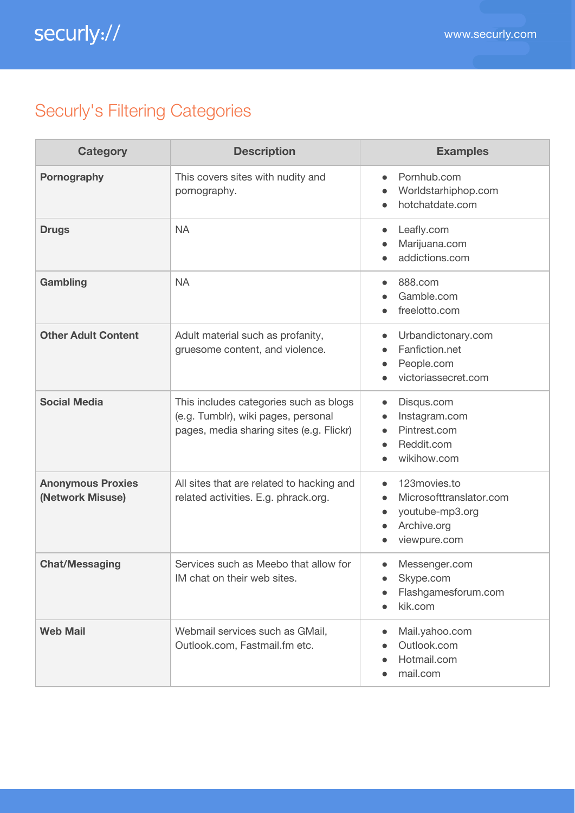## Securly's Filtering Categories

| <b>Category</b>                              | <b>Description</b>                                                                                                        | <b>Examples</b>                                                                                        |
|----------------------------------------------|---------------------------------------------------------------------------------------------------------------------------|--------------------------------------------------------------------------------------------------------|
| Pornography                                  | This covers sites with nudity and<br>pornography.                                                                         | Pornhub.com<br>$\bullet$<br>Worldstarhiphop.com<br>hotchatdate.com                                     |
| <b>Drugs</b>                                 | <b>NA</b>                                                                                                                 | Leafly.com<br>Marijuana.com<br>addictions.com                                                          |
| Gambling                                     | <b>NA</b>                                                                                                                 | 888.com<br>$\bullet$<br>Gamble.com<br>freelotto.com                                                    |
| <b>Other Adult Content</b>                   | Adult material such as profanity,<br>gruesome content, and violence.                                                      | Urbandictonary.com<br>$\bullet$<br>Fanfiction.net<br>People.com<br>victoriassecret.com                 |
| <b>Social Media</b>                          | This includes categories such as blogs<br>(e.g. Tumblr), wiki pages, personal<br>pages, media sharing sites (e.g. Flickr) | Disqus.com<br>$\bullet$<br>Instagram.com<br>Pintrest.com<br>Reddit.com<br>wikihow.com                  |
| <b>Anonymous Proxies</b><br>(Network Misuse) | All sites that are related to hacking and<br>related activities. E.g. phrack.org.                                         | 123movies.to<br>Microsofttranslator.com<br>youtube-mp3.org<br>$\bullet$<br>Archive.org<br>viewpure.com |
| <b>Chat/Messaging</b>                        | Services such as Meebo that allow for<br>IM chat on their web sites.                                                      | Messenger.com<br>$\bullet$<br>Skype.com<br>Flashgamesforum.com<br>kik.com                              |
| <b>Web Mail</b>                              | Webmail services such as GMail,<br>Outlook.com, Fastmail.fm etc.                                                          | Mail.yahoo.com<br>Outlook.com<br>Hotmail.com<br>mail.com                                               |